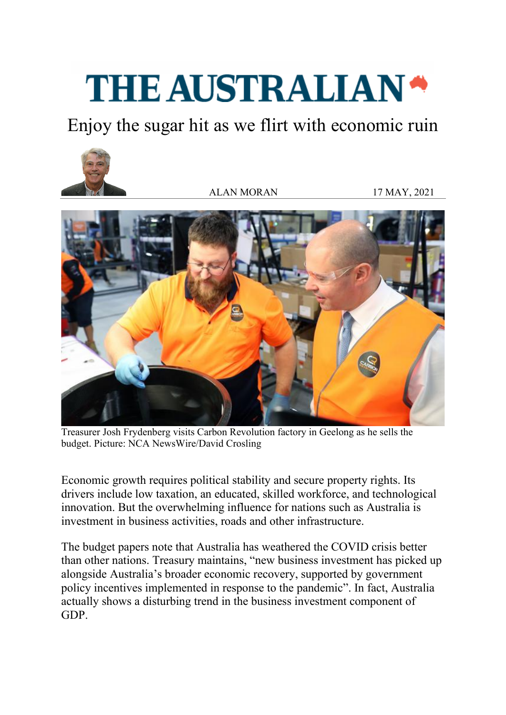## **THE AUSTRALIAN\***

Enjoy the sugar hit as we flirt with economic ruin



ALAN MORAN 17 MAY, 2021



Treasurer Josh Frydenberg visits Carbon Revolution factory in Geelong as he sells the budget. Picture: NCA NewsWire/David Crosling

Economic growth requires political stability and secure property rights. Its drivers include low taxation, an educated, skilled workforce, and technological innovation. But the overwhelming influence for nations such as Australia is investment in business activities, roads and other infrastructure.

The budget papers note that Australia has weathered the COVID crisis better than other nations. Treasury maintains, "new business investment has picked up alongside Australia's broader economic recovery, supported by government policy incentives implemented in response to the pandemic". In fact, Australia actually shows a disturbing trend in the business investment component of GDP.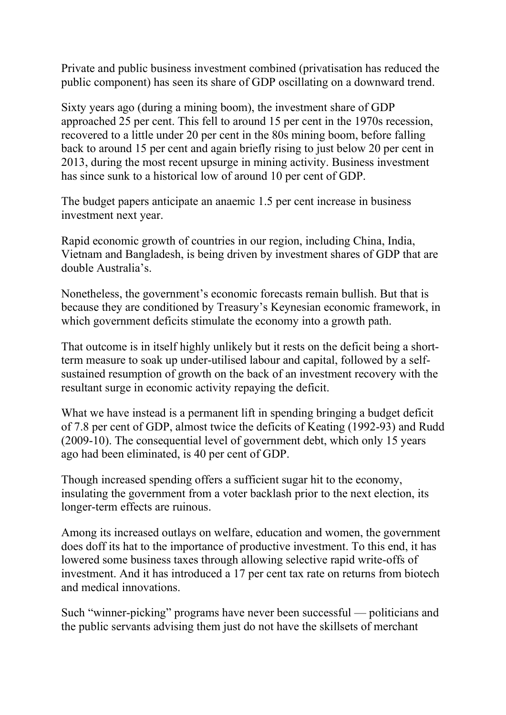Private and public business investment combined (privatisation has reduced the public component) has seen its share of GDP oscillating on a downward trend.

Sixty years ago (during a mining boom), the investment share of GDP approached 25 per cent. This fell to around 15 per cent in the 1970s recession, recovered to a little under 20 per cent in the 80s mining boom, before falling back to around 15 per cent and again briefly rising to just below 20 per cent in 2013, during the most recent upsurge in mining activity. Business investment has since sunk to a historical low of around 10 per cent of GDP.

The budget papers anticipate an anaemic 1.5 per cent increase in business investment next year.

Rapid economic growth of countries in our region, including China, India, Vietnam and Bangladesh, is being driven by investment shares of GDP that are double Australia's.

Nonetheless, the government's economic forecasts remain bullish. But that is because they are conditioned by Treasury's Keynesian economic framework, in which government deficits stimulate the economy into a growth path.

That outcome is in itself highly unlikely but it rests on the deficit being a shortterm measure to soak up under-utilised labour and capital, followed by a selfsustained resumption of growth on the back of an investment recovery with the resultant surge in economic activity repaying the deficit.

What we have instead is a permanent lift in spending bringing a budget deficit of 7.8 per cent of GDP, almost twice the deficits of Keating (1992-93) and Rudd (2009-10). The consequential level of government debt, which only 15 years ago had been eliminated, is 40 per cent of GDP.

Though increased spending offers a sufficient sugar hit to the economy, insulating the government from a voter backlash prior to the next election, its longer-term effects are ruinous.

Among its increased outlays on welfare, education and women, the government does doff its hat to the importance of productive investment. To this end, it has lowered some business taxes through allowing selective rapid write-offs of investment. And it has introduced a 17 per cent tax rate on returns from biotech and medical innovations.

Such "winner-picking" programs have never been successful — politicians and the public servants advising them just do not have the skillsets of merchant